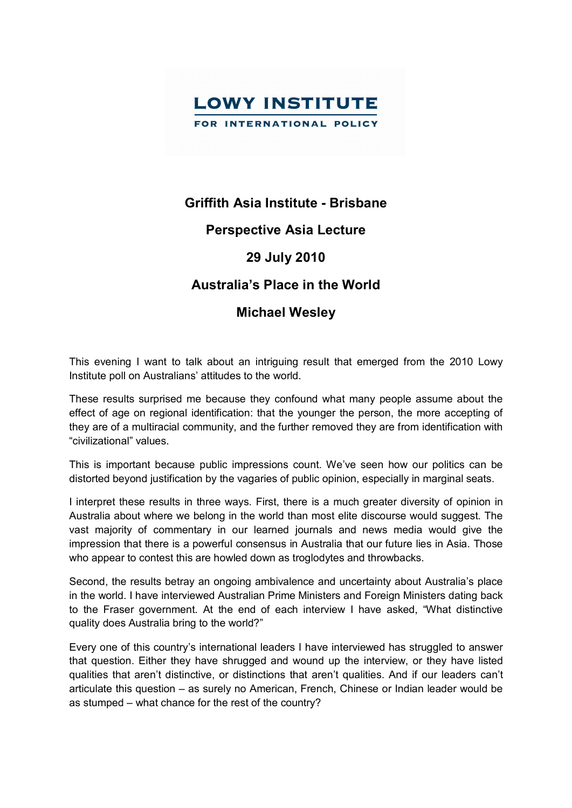

## **Griffith Asia Institute Brisbane**

## **Perspective Asia Lecture**

## **29 July 2010**

# **Australia's Place in the World**

## **Michael Wesley**

This evening I want to talk about an intriguing result that emerged from the 2010 Lowy Institute poll on Australians' attitudes to the world.

These results surprised me because they confound what many people assume about the effect of age on regional identification: that the younger the person, the more accepting of they are of a multiracial community, and the further removed they are from identification with "civilizational" values.

This is important because public impressions count. We've seen how our politics can be distorted beyond justification by the vagaries of public opinion, especially in marginal seats.

I interpret these results in three ways. First, there is a much greater diversity of opinion in Australia about where we belong in the world than most elite discourse would suggest. The vast majority of commentary in our learned journals and news media would give the impression that there is a powerful consensus in Australia that our future lies in Asia. Those who appear to contest this are howled down as troglodytes and throwbacks.

Second, the results betray an ongoing ambivalence and uncertainty about Australia's place in the world. I have interviewed Australian Prime Ministers and Foreign Ministers dating back to the Fraser government. At the end of each interview I have asked, "What distinctive quality does Australia bring to the world?"

Every one of this country's international leaders I have interviewed has struggled to answer that question. Either they have shrugged and wound up the interview, or they have listed qualities that aren't distinctive, or distinctions that aren't qualities. And if our leaders can't articulate this question – as surely no American, French, Chinese or Indian leader would be as stumped – what chance for the rest of the country?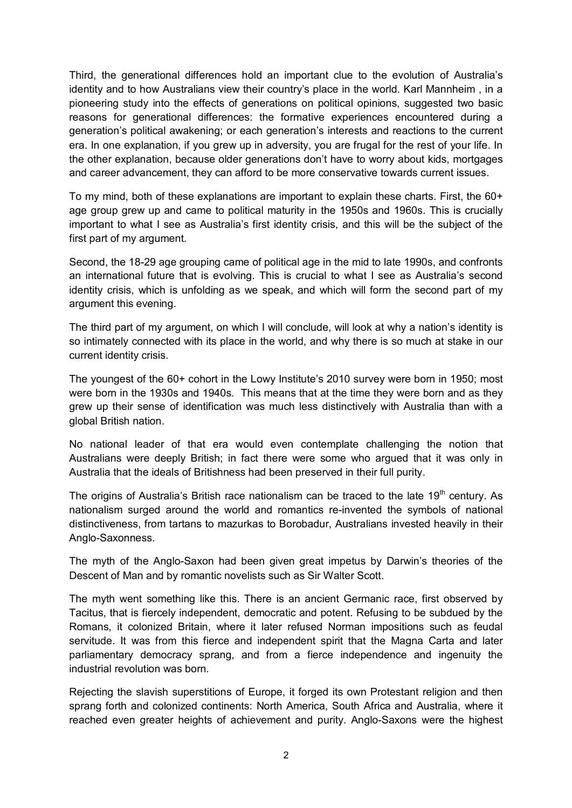Third, the generational differences hold an important clue to the evolution of Australia's identity and to how Australians view their country's place in the world. Karl Mannheim , in a pioneering study into the effects of generations on political opinions, suggested two basic reasons for generational differences: the formative experiences encountered during a generation's political awakening; or each generation's interests and reactions to the current era. In one explanation, if you grew up in adversity, you are frugal for the rest of your life. In the other explanation, because older generations don't have to worry about kids, mortgages and career advancement, they can afford to be more conservative towards current issues.

To my mind, both of these explanations are important to explain these charts. First, the 60+ age group grew up and came to political maturity in the 1950s and 1960s. This is crucially important to what I see as Australia's first identity crisis, and this will be the subject of the first part of my argument.

Second, the 18-29 age grouping came of political age in the mid to late 1990s, and confronts an international future that is evolving. This is crucial to what I see as Australia's second identity crisis, which is unfolding as we speak, and which will form the second part of my argument this evening.

The third part of my argument, on which I will conclude, will look at why a nation's identity is so intimately connected with its place in the world, and why there is so much at stake in our current identity crisis.

The youngest of the 60+ cohort in the Lowy Institute's 2010 survey were born in 1950; most were born in the 1930s and 1940s. This means that at the time they were born and as they grew up their sense of identification was much less distinctively with Australia than with a global British nation.

No national leader of that era would even contemplate challenging the notion that Australians were deeply British; in fact there were some who argued that it was only in Australia that the ideals of Britishness had been preserved in their full purity.

The origins of Australia's British race nationalism can be traced to the late 19<sup>th</sup> century. As nationalism surged around the world and romantics re-invented the symbols of national distinctiveness, from tartans to mazurkas to Borobadur, Australians invested heavily in their Anglo-Saxonness.

The myth of the Anglo-Saxon had been given great impetus by Darwin's theories of the Descent of Man and by romantic novelists such as Sir Walter Scott.

The myth went something like this. There is an ancient Germanic race, first observed by Tacitus, that is fiercely independent, democratic and potent. Refusing to be subdued by the Romans, it colonized Britain, where it later refused Norman impositions such as feudal servitude. It was from this fierce and independent spirit that the Magna Carta and later parliamentary democracy sprang, and from a fierce independence and ingenuity the industrial revolution was born.

Rejecting the slavish superstitions of Europe, it forged its own Protestant religion and then sprang forth and colonized continents: North America, South Africa and Australia, where it reached even greater heights of achievement and purity. Anglo-Saxons were the highest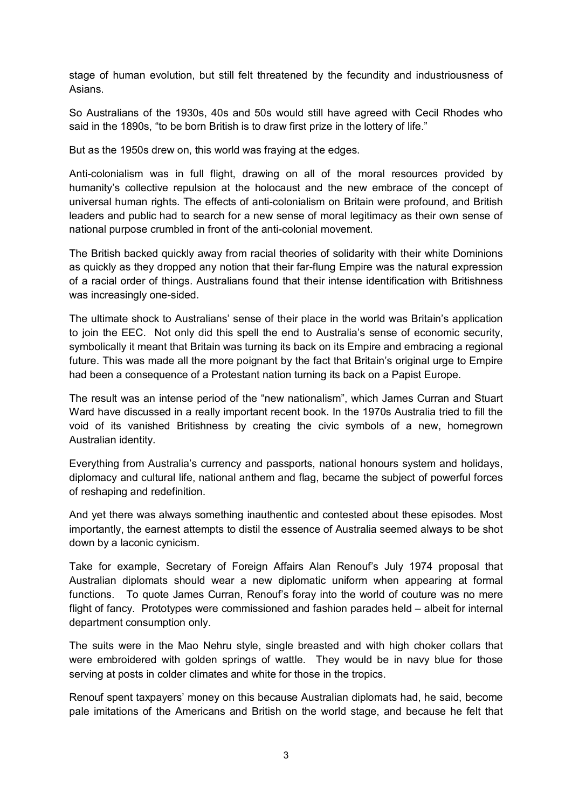stage of human evolution, but still felt threatened by the fecundity and industriousness of Asians.

So Australians of the 1930s, 40s and 50s would still have agreed with Cecil Rhodes who said in the 1890s, "to be born British is to draw first prize in the lottery of life."

But as the 1950s drew on, this world was fraying at the edges.

Anti-colonialism was in full flight, drawing on all of the moral resources provided by humanity's collective repulsion at the holocaust and the new embrace of the concept of universal human rights. The effects of anti-colonialism on Britain were profound, and British leaders and public had to search for a new sense of moral legitimacy as their own sense of national purpose crumbled in front of the anti-colonial movement.

The British backed quickly away from racial theories of solidarity with their white Dominions as quickly as they dropped any notion that their far-flung Empire was the natural expression of a racial order of things. Australians found that their intense identification with Britishness was increasingly one-sided.

The ultimate shock to Australians' sense of their place in the world was Britain's application to join the EEC. Not only did this spell the end to Australia's sense of economic security, symbolically it meant that Britain was turning its back on its Empire and embracing a regional future. This was made all the more poignant by the fact that Britain's original urge to Empire had been a consequence of a Protestant nation turning its back on a Papist Europe.

The result was an intense period of the "new nationalism", which James Curran and Stuart Ward have discussed in a really important recent book. In the 1970s Australia tried to fill the void of its vanished Britishness by creating the civic symbols of a new, homegrown Australian identity.

Everything from Australia's currency and passports, national honours system and holidays, diplomacy and cultural life, national anthem and flag, became the subject of powerful forces of reshaping and redefinition.

And yet there was always something inauthentic and contested about these episodes. Most importantly, the earnest attempts to distil the essence of Australia seemed always to be shot down by a laconic cynicism.

Take for example, Secretary of Foreign Affairs Alan Renouf's July 1974 proposal that Australian diplomats should wear a new diplomatic uniform when appearing at formal functions. To quote James Curran, Renouf's foray into the world of couture was no mere flight of fancy. Prototypes were commissioned and fashion parades held – albeit for internal department consumption only.

The suits were in the Mao Nehru style, single breasted and with high choker collars that were embroidered with golden springs of wattle. They would be in navy blue for those serving at posts in colder climates and white for those in the tropics.

Renouf spent taxpayers' money on this because Australian diplomats had, he said, become pale imitations of the Americans and British on the world stage, and because he felt that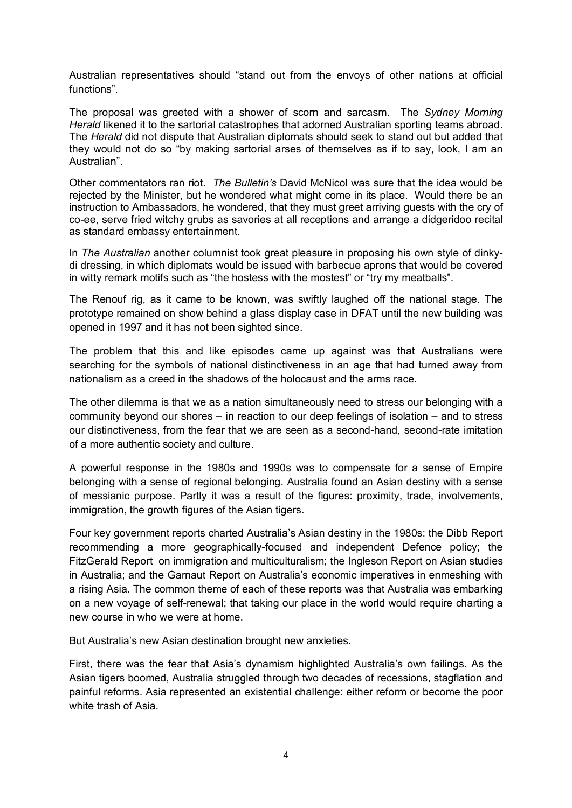Australian representatives should "stand out from the envoys of other nations at official functions".

The proposal was greeted with a shower of scorn and sarcasm. The *Sydney Morning Herald* likened it to the sartorial catastrophes that adorned Australian sporting teams abroad. The *Herald* did not dispute that Australian diplomats should seek to stand out but added that they would not do so "by making sartorial arses of themselves as if to say, look, I am an Australian".

Other commentators ran riot. *The Bulletin's* David McNicol was sure that the idea would be rejected by the Minister, but he wondered what might come in its place. Would there be an instruction to Ambassadors, he wondered, that they must greet arriving guests with the cry of co-ee, serve fried witchy grubs as savories at all receptions and arrange a didgeridoo recital as standard embassy entertainment.

In *The Australian* another columnist took great pleasure in proposing his own style of dinky di dressing, in which diplomats would be issued with barbecue aprons that would be covered in witty remark motifs such as "the hostess with the mostest" or "try my meatballs".

The Renouf rig, as it came to be known, was swiftly laughed off the national stage. The prototype remained on show behind a glass display case in DFAT until the new building was opened in 1997 and it has not been sighted since.

The problem that this and like episodes came up against was that Australians were searching for the symbols of national distinctiveness in an age that had turned away from nationalism as a creed in the shadows of the holocaust and the arms race.

The other dilemma is that we as a nation simultaneously need to stress our belonging with a community beyond our shores – in reaction to our deep feelings of isolation – and to stress our distinctiveness, from the fear that we are seen as a second-hand, second-rate imitation of a more authentic society and culture.

A powerful response in the 1980s and 1990s was to compensate for a sense of Empire belonging with a sense of regional belonging. Australia found an Asian destiny with a sense of messianic purpose. Partly it was a result of the figures: proximity, trade, involvements, immigration, the growth figures of the Asian tigers.

Four key government reports charted Australia's Asian destiny in the 1980s: the Dibb Report recommending a more geographically-focused and independent Defence policy; the FitzGerald Report on immigration and multiculturalism; the Ingleson Report on Asian studies in Australia; and the Garnaut Report on Australia's economic imperatives in enmeshing with a rising Asia. The common theme of each of these reports was that Australia was embarking on a new voyage of self-renewal; that taking our place in the world would require charting a new course in who we were at home.

But Australia's new Asian destination brought new anxieties.

First, there was the fear that Asia's dynamism highlighted Australia's own failings. As the Asian tigers boomed, Australia struggled through two decades of recessions, stagflation and painful reforms. Asia represented an existential challenge: either reform or become the poor white trash of Asia.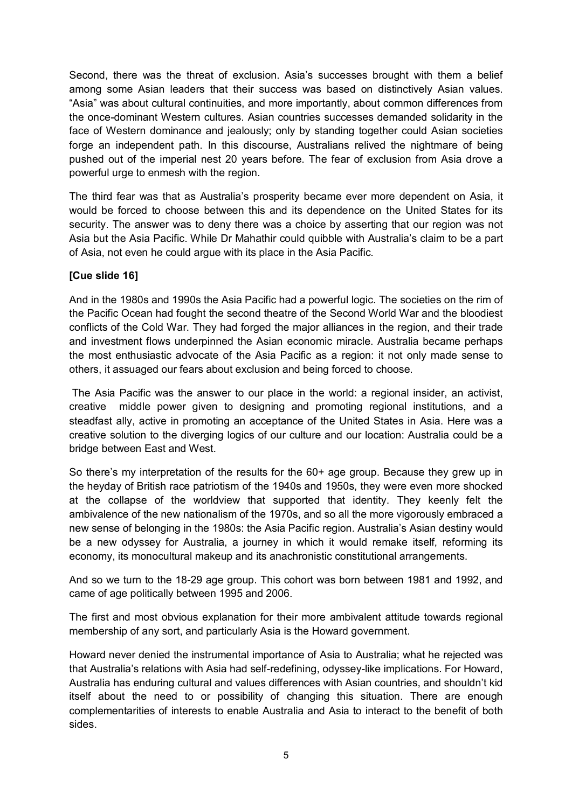Second, there was the threat of exclusion. Asia's successes brought with them a belief among some Asian leaders that their success was based on distinctively Asian values. "Asia" was about cultural continuities, and more importantly, about common differences from the once-dominant Western cultures. Asian countries successes demanded solidarity in the face of Western dominance and jealously; only by standing together could Asian societies forge an independent path. In this discourse, Australians relived the nightmare of being pushed out of the imperial nest 20 years before. The fear of exclusion from Asia drove a powerful urge to enmesh with the region.

The third fear was that as Australia's prosperity became ever more dependent on Asia, it would be forced to choose between this and its dependence on the United States for its security. The answer was to deny there was a choice by asserting that our region was not Asia but the Asia Pacific. While Dr Mahathir could quibble with Australia's claim to be a part of Asia, not even he could argue with its place in the Asia Pacific.

#### **[Cue slide 16]**

And in the 1980s and 1990s the Asia Pacific had a powerful logic. The societies on the rim of the Pacific Ocean had fought the second theatre of the Second World War and the bloodiest conflicts of the Cold War. They had forged the major alliances in the region, and their trade and investment flows underpinned the Asian economic miracle. Australia became perhaps the most enthusiastic advocate of the Asia Pacific as a region: it not only made sense to others, it assuaged our fears about exclusion and being forced to choose.

The Asia Pacific was the answer to our place in the world: a regional insider, an activist, creative middle power given to designing and promoting regional institutions, and a steadfast ally, active in promoting an acceptance of the United States in Asia. Here was a creative solution to the diverging logics of our culture and our location: Australia could be a bridge between East and West.

So there's my interpretation of the results for the 60+ age group. Because they grew up in the heyday of British race patriotism of the 1940s and 1950s, they were even more shocked at the collapse of the worldview that supported that identity. They keenly felt the ambivalence of the new nationalism of the 1970s, and so all the more vigorously embraced a new sense of belonging in the 1980s: the Asia Pacific region. Australia's Asian destiny would be a new odyssey for Australia, a journey in which it would remake itself, reforming its economy, its monocultural makeup and its anachronistic constitutional arrangements.

And so we turn to the 18-29 age group. This cohort was born between 1981 and 1992, and came of age politically between 1995 and 2006.

The first and most obvious explanation for their more ambivalent attitude towards regional membership of any sort, and particularly Asia is the Howard government.

Howard never denied the instrumental importance of Asia to Australia; what he rejected was that Australia's relations with Asia had self-redefining, odyssey-like implications. For Howard, Australia has enduring cultural and values differences with Asian countries, and shouldn't kid itself about the need to or possibility of changing this situation. There are enough complementarities of interests to enable Australia and Asia to interact to the benefit of both sides.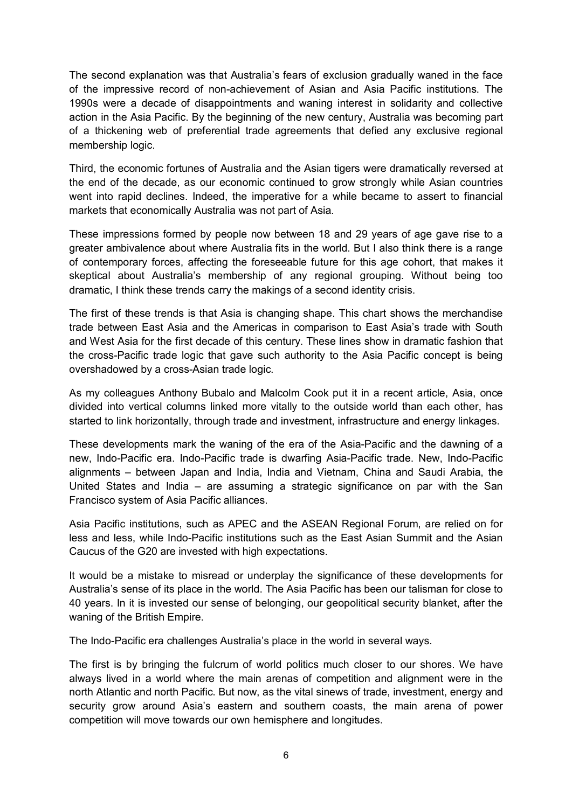The second explanation was that Australia's fears of exclusion gradually waned in the face of the impressive record of non-achievement of Asian and Asia Pacific institutions. The 1990s were a decade of disappointments and waning interest in solidarity and collective action in the Asia Pacific. By the beginning of the new century, Australia was becoming part of a thickening web of preferential trade agreements that defied any exclusive regional membership logic.

Third, the economic fortunes of Australia and the Asian tigers were dramatically reversed at the end of the decade, as our economic continued to grow strongly while Asian countries went into rapid declines. Indeed, the imperative for a while became to assert to financial markets that economically Australia was not part of Asia.

These impressions formed by people now between 18 and 29 years of age gave rise to a greater ambivalence about where Australia fits in the world. But I also think there is a range of contemporary forces, affecting the foreseeable future for this age cohort, that makes it skeptical about Australia's membership of any regional grouping. Without being too dramatic, I think these trends carry the makings of a second identity crisis.

The first of these trends is that Asia is changing shape. This chart shows the merchandise trade between East Asia and the Americas in comparison to East Asia's trade with South and West Asia for the first decade of this century. These lines show in dramatic fashion that the cross-Pacific trade logic that gave such authority to the Asia Pacific concept is being overshadowed by a cross-Asian trade logic.

As my colleagues Anthony Bubalo and Malcolm Cook put it in a recent article, Asia, once divided into vertical columns linked more vitally to the outside world than each other, has started to link horizontally, through trade and investment, infrastructure and energy linkages.

These developments mark the waning of the era of the Asia-Pacific and the dawning of a new, Indo-Pacific era. Indo-Pacific trade is dwarfing Asia-Pacific trade. New, Indo-Pacific alignments – between Japan and India, India and Vietnam, China and Saudi Arabia, the United States and India – are assuming a strategic significance on par with the San Francisco system of Asia Pacific alliances.

Asia Pacific institutions, such as APEC and the ASEAN Regional Forum, are relied on for less and less, while Indo-Pacific institutions such as the East Asian Summit and the Asian Caucus of the G20 are invested with high expectations.

It would be a mistake to misread or underplay the significance of these developments for Australia's sense of its place in the world. The Asia Pacific has been our talisman for close to 40 years. In it is invested our sense of belonging, our geopolitical security blanket, after the waning of the British Empire.

The Indo-Pacific era challenges Australia's place in the world in several ways.

The first is by bringing the fulcrum of world politics much closer to our shores. We have always lived in a world where the main arenas of competition and alignment were in the north Atlantic and north Pacific. But now, as the vital sinews of trade, investment, energy and security grow around Asia's eastern and southern coasts, the main arena of power competition will move towards our own hemisphere and longitudes.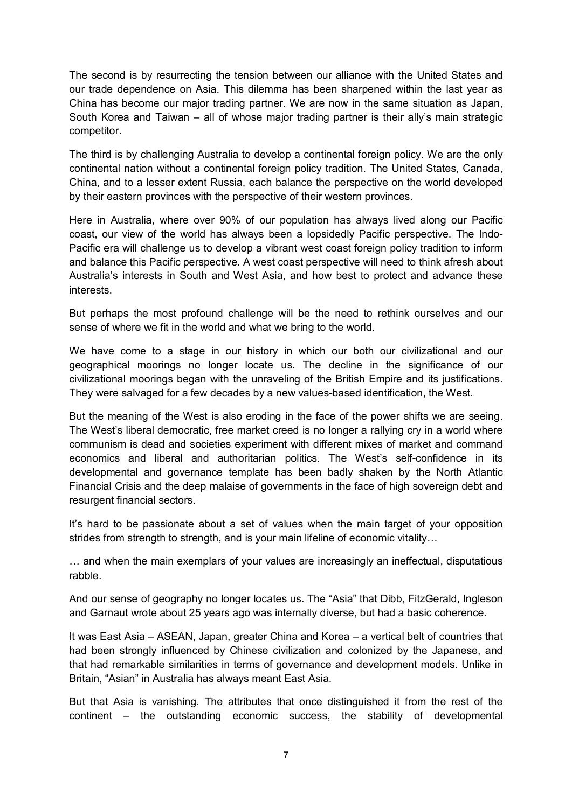The second is by resurrecting the tension between our alliance with the United States and our trade dependence on Asia. This dilemma has been sharpened within the last year as China has become our major trading partner. We are now in the same situation as Japan, South Korea and Taiwan – all of whose major trading partner is their ally's main strategic competitor.

The third is by challenging Australia to develop a continental foreign policy. We are the only continental nation without a continental foreign policy tradition. The United States, Canada, China, and to a lesser extent Russia, each balance the perspective on the world developed by their eastern provinces with the perspective of their western provinces.

Here in Australia, where over 90% of our population has always lived along our Pacific coast, our view of the world has always been a lopsidedly Pacific perspective. The Indo Pacific era will challenge us to develop a vibrant west coast foreign policy tradition to inform and balance this Pacific perspective. A west coast perspective will need to think afresh about Australia's interests in South and West Asia, and how best to protect and advance these interests.

But perhaps the most profound challenge will be the need to rethink ourselves and our sense of where we fit in the world and what we bring to the world.

We have come to a stage in our history in which our both our civilizational and our geographical moorings no longer locate us. The decline in the significance of our civilizational moorings began with the unraveling of the British Empire and its justifications. They were salvaged for a few decades by a new values-based identification, the West.

But the meaning of the West is also eroding in the face of the power shifts we are seeing. The West's liberal democratic, free market creed is no longer a rallying cry in a world where communism is dead and societies experiment with different mixes of market and command economics and liberal and authoritarian politics. The West's self-confidence in its developmental and governance template has been badly shaken by the North Atlantic Financial Crisis and the deep malaise of governments in the face of high sovereign debt and resurgent financial sectors.

It's hard to be passionate about a set of values when the main target of your opposition strides from strength to strength, and is your main lifeline of economic vitality…

… and when the main exemplars of your values are increasingly an ineffectual, disputatious rabble.

And our sense of geography no longer locates us. The "Asia" that Dibb, FitzGerald, Ingleson and Garnaut wrote about 25 years ago was internally diverse, but had a basic coherence.

It was East Asia – ASEAN, Japan, greater China and Korea – a vertical belt of countries that had been strongly influenced by Chinese civilization and colonized by the Japanese, and that had remarkable similarities in terms of governance and development models. Unlike in Britain, "Asian" in Australia has always meant East Asia.

But that Asia is vanishing. The attributes that once distinguished it from the rest of the continent – the outstanding economic success, the stability of developmental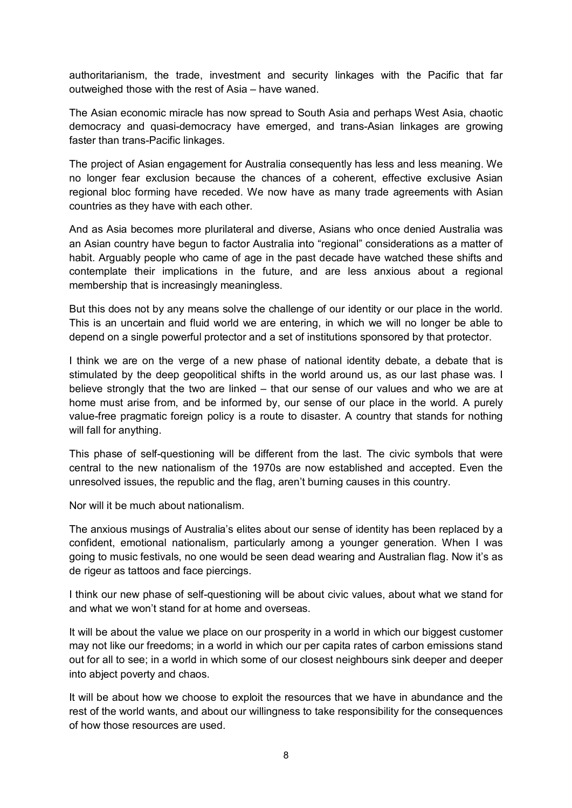authoritarianism, the trade, investment and security linkages with the Pacific that far outweighed those with the rest of Asia – have waned.

The Asian economic miracle has now spread to South Asia and perhaps West Asia, chaotic democracy and quasi-democracy have emerged, and trans-Asian linkages are growing faster than trans-Pacific linkages.

The project of Asian engagement for Australia consequently has less and less meaning. We no longer fear exclusion because the chances of a coherent, effective exclusive Asian regional bloc forming have receded. We now have as many trade agreements with Asian countries as they have with each other.

And as Asia becomes more plurilateral and diverse, Asians who once denied Australia was an Asian country have begun to factor Australia into "regional" considerations as a matter of habit. Arguably people who came of age in the past decade have watched these shifts and contemplate their implications in the future, and are less anxious about a regional membership that is increasingly meaningless.

But this does not by any means solve the challenge of our identity or our place in the world. This is an uncertain and fluid world we are entering, in which we will no longer be able to depend on a single powerful protector and a set of institutions sponsored by that protector.

I think we are on the verge of a new phase of national identity debate, a debate that is stimulated by the deep geopolitical shifts in the world around us, as our last phase was. I believe strongly that the two are linked – that our sense of our values and who we are at home must arise from, and be informed by, our sense of our place in the world. A purely value-free pragmatic foreign policy is a route to disaster. A country that stands for nothing will fall for anything.

This phase of self-questioning will be different from the last. The civic symbols that were central to the new nationalism of the 1970s are now established and accepted. Even the unresolved issues, the republic and the flag, aren't burning causes in this country.

Nor will it be much about nationalism.

The anxious musings of Australia's elites about our sense of identity has been replaced by a confident, emotional nationalism, particularly among a younger generation. When I was going to music festivals, no one would be seen dead wearing and Australian flag. Now it's as de rigeur as tattoos and face piercings.

I think our new phase of self-questioning will be about civic values, about what we stand for and what we won't stand for at home and overseas.

It will be about the value we place on our prosperity in a world in which our biggest customer may not like our freedoms; in a world in which our per capita rates of carbon emissions stand out for all to see; in a world in which some of our closest neighbours sink deeper and deeper into abject poverty and chaos.

It will be about how we choose to exploit the resources that we have in abundance and the rest of the world wants, and about our willingness to take responsibility for the consequences of how those resources are used.